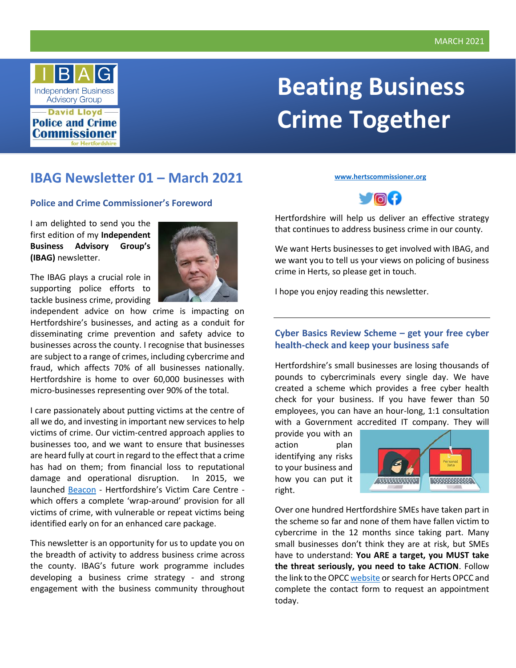

# **Beating Business Crime Together**

# **IBAG Newsletter 01 – March 2021**

#### **Police and Crime Commissioner's Foreword**

I am delighted to send you the first edition of my **Independent Business Advisory Group's (IBAG)** newsletter.

The IBAG plays a crucial role in supporting police efforts to tackle business crime, providing



independent advice on how crime is impacting on Hertfordshire's businesses, and acting as a conduit for disseminating crime prevention and safety advice to businesses across the county. I recognise that businesses are subject to a range of crimes, including cybercrime and fraud, which affects 70% of all businesses nationally. Hertfordshire is home to over 60,000 businesses with micro-businesses representing over 90% of the total.

I care passionately about putting victims at the centre of all we do, and investing in important new services to help victims of crime. Our victim-centred approach applies to businesses too, and we want to ensure that businesses are heard fully at court in regard to the effect that a crime has had on them; from financial loss to reputational damage and operational disruption. In 2015, we launched [Beacon](https://www.hertscommissioner.org/beacon) - Hertfordshire's Victim Care Centre which offers a complete 'wrap-around' provision for all victims of crime, with vulnerable or repeat victims being identified early on for an enhanced care package.

This newsletter is an opportunity for us to update you on the breadth of activity to address business crime across the county. IBAG's future work programme includes developing a business crime strategy - and strong engagement with the business community throughout

**[www.hertscommissioner.org](http://www.hertscommissioner.org/)**



Hertfordshire will help us deliver an effective strategy that continues to address business crime in our county.

We want Herts businesses to get involved with IBAG, and we want you to tell us your views on policing of business crime in Herts, so please get in touch.

I hope you enjoy reading this newsletter.

# **Cyber Basics Review Scheme – get your free cyber health-check and keep your business safe**

Hertfordshire's small businesses are losing thousands of pounds to cybercriminals every single day. We have created a scheme which provides a free cyber health check for your business. If you have fewer than 50 employees, you can have an hour-long, 1:1 consultation with a Government accredited IT company. They will

provide you with an action plan identifying any risks to your business and how you can put it right.



Over one hundred Hertfordshire SMEs have taken part in the scheme so far and none of them have fallen victim to cybercrime in the 12 months since taking part. Many small businesses don't think they are at risk, but SMEs have to understand: **You ARE a target, you MUST take the threat seriously, you need to take ACTION**. Follow the link to the OPCC [website](https://www.hertscommissioner.org/) or search for Herts OPCC and complete the contact form to request an appointment today.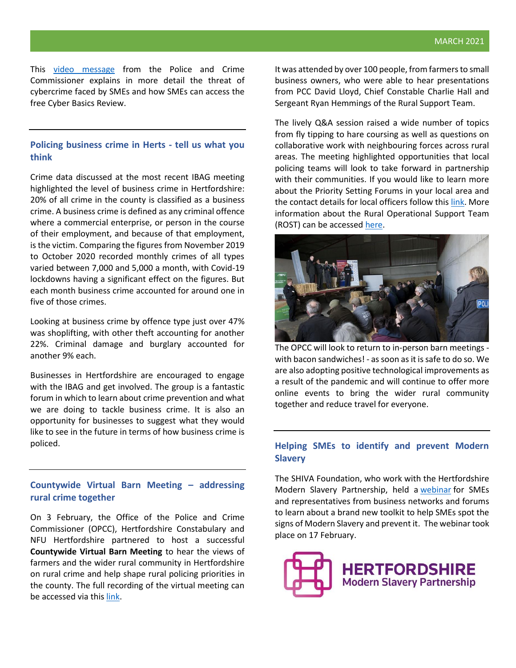This [video message](https://youtu.be/35ztkh3JinY) from the Police and Crime Commissioner explains in more detail the threat of cybercrime faced by SMEs and how SMEs can access the free Cyber Basics Review.

#### **Policing business crime in Herts - tell us what you think**

Crime data discussed at the most recent IBAG meeting highlighted the level of business crime in Hertfordshire: 20% of all crime in the county is classified as a business crime. A business crime is defined as any criminal offence where a commercial enterprise, or person in the course of their employment, and because of that employment, is the victim. Comparing the figures from November 2019 to October 2020 recorded monthly crimes of all types varied between 7,000 and 5,000 a month, with Covid-19 lockdowns having a significant effect on the figures. But each month business crime accounted for around one in five of those crimes.

Looking at business crime by offence type just over 47% was shoplifting, with other theft accounting for another 22%. Criminal damage and burglary accounted for another 9% each.

Businesses in Hertfordshire are encouraged to engage with the IBAG and get involved. The group is a fantastic forum in which to learn about crime prevention and what we are doing to tackle business crime. It is also an opportunity for businesses to suggest what they would like to see in the future in terms of how business crime is policed.

# **Countywide Virtual Barn Meeting – addressing rural crime together**

On 3 February, the Office of the Police and Crime Commissioner (OPCC), Hertfordshire Constabulary and NFU Hertfordshire partnered to host a successful **Countywide Virtual Barn Meeting** to hear the views of farmers and the wider rural community in Hertfordshire on rural crime and help shape rural policing priorities in the county. The full recording of the virtual meeting can be accessed via this [link.](https://vimeo.com/user127464318)

It was attended by over 100 people, from farmers to small business owners, who were able to hear presentations from PCC David Lloyd, Chief Constable Charlie Hall and Sergeant Ryan Hemmings of the Rural Support Team.

The lively Q&A session raised a wide number of topics from fly tipping to hare coursing as well as questions on collaborative work with neighbouring forces across rural areas. The meeting highlighted opportunities that local policing teams will look to take forward in partnership with their communities. If you would like to learn more about the Priority Setting Forums in your local area and the contact details for local officers follow this [link.](https://www.herts.police.uk/Your-area/your-area) More information about the Rural Operational Support Team (ROST) can be accesse[d here.](https://www.herts.police.uk/Information-and-services/Advice/Rural-crime/Rural-Operational-Support-Team)



The OPCC will look to return to in-person barn meetings with bacon sandwiches! - as soon as it is safe to do so. We are also adopting positive technological improvements as a result of the pandemic and will continue to offer more online events to bring the wider rural community together and reduce travel for everyone.

# **Helping SMEs to identify and prevent Modern Slavery**

The SHIVA Foundation, who work with the Hertfordshire Modern Slavery Partnership, held a [webinar](https://www.eventbrite.co.uk/e/how-smes-can-help-prevent-modern-slavery-tickets-133203446093) for SMEs and representatives from business networks and forums to learn about a brand new toolkit to help SMEs spot the signs of Modern Slavery and prevent it. The webinar took place on 17 February.

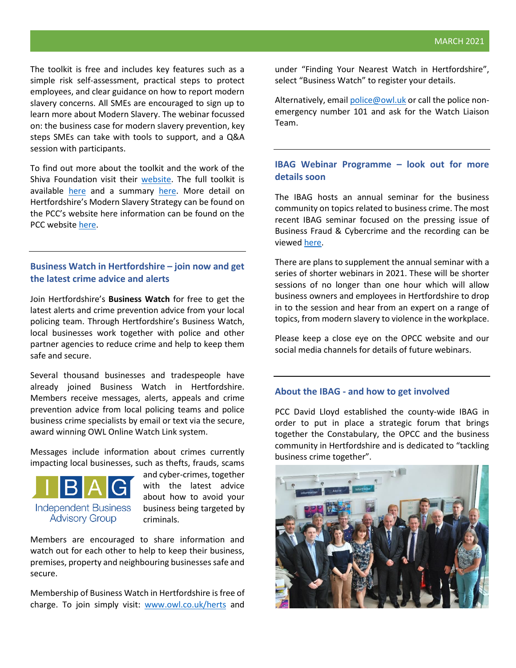The toolkit is free and includes key features such as a simple risk self-assessment, practical steps to protect employees, and clear guidance on how to report modern slavery concerns. All SMEs are encouraged to sign up to learn more about Modern Slavery. The webinar focussed on: the business case for modern slavery prevention, key steps SMEs can take with tools to support, and a Q&A session with participants.

To find out more about the toolkit and the work of the Shiva Foundation visit their [website.](https://shivafoundation.org.uk/) The full toolkit is available [here](https://shivafoundation.org.uk/wp-content/uploads/2021/02/SF_STT_SMEToolkit_2102.pdf) and a summary [here.](https://shivafoundation.org.uk/wp-content/uploads/2021/02/SF_STT_SME_Summary_2102.pdf) More detail on Hertfordshire's Modern Slavery Strategy can be found on the PCC's website here information can be found on the PCC website [here.](https://www.hertscommissioner.org/modern-slavery)

# **Business Watch in Hertfordshire – join now and get the latest crime advice and alerts**

Join Hertfordshire's **Business Watch** for free to get the latest alerts and crime prevention advice from your local policing team. Through Hertfordshire's Business Watch, local businesses work together with police and other partner agencies to reduce crime and help to keep them safe and secure.

Several thousand businesses and tradespeople have already joined Business Watch in Hertfordshire. Members receive messages, alerts, appeals and crime prevention advice from local policing teams and police business crime specialists by email or text via the secure, award winning OWL Online Watch Link system.

Messages include information about crimes currently impacting local businesses, such as thefts, frauds, scams



and cyber-crimes, together with the latest advice about how to avoid your business being targeted by criminals.

Members are encouraged to share information and watch out for each other to help to keep their business, premises, property and neighbouring businesses safe and secure.

Membership of Business Watch in Hertfordshire is free of charge. To join simply visit: [www.owl.co.uk/herts](http://www.owl.co.uk/herts) and

under "Finding Your Nearest Watch in Hertfordshire", select "Business Watch" to register your details.

Alternatively, emai[l police@owl.uk](mailto:police@owl.uk) or call the police nonemergency number 101 and ask for the Watch Liaison Team.

#### **IBAG Webinar Programme – look out for more details soon**

The IBAG hosts an annual seminar for the business community on topics related to business crime. The most recent IBAG seminar focused on the pressing issue of Business Fraud & Cybercrime and the recording can be viewed [here.](https://vimeo.com/470624930)

There are plans to supplement the annual seminar with a series of shorter webinars in 2021. These will be shorter sessions of no longer than one hour which will allow business owners and employees in Hertfordshire to drop in to the session and hear from an expert on a range of topics, from modern slavery to violence in the workplace.

Please keep a close eye on the OPCC website and our social media channels for details of future webinars.

#### **About the IBAG - and how to get involved**

PCC David Lloyd established the county-wide IBAG in order to put in place a strategic forum that brings together the Constabulary, the OPCC and the business community in Hertfordshire and is dedicated to "tackling business crime together".